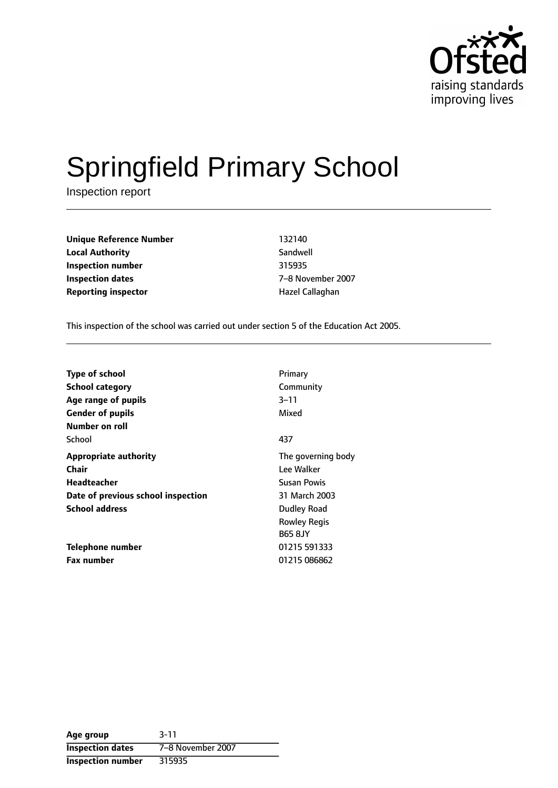

# Springfield Primary School

Inspection report

**Unique Reference Number** 132140 **Local Authority** Sandwell **Inspection number** 315935 **Inspection dates** 7-8 November 2007 **Reporting inspector According the Exercise Callaghan** 

This inspection of the school was carried out under section 5 of the Education Act 2005.

| <b>Type of school</b>                     | Primary                                              |
|-------------------------------------------|------------------------------------------------------|
| <b>School category</b>                    | Community                                            |
| Age range of pupils                       | 3–11                                                 |
| <b>Gender of pupils</b><br>Number on roll | Mixed                                                |
| School                                    | 437                                                  |
| <b>Appropriate authority</b>              | The governing body                                   |
| <b>Chair</b>                              | Lee Walker                                           |
| Headteacher                               | Susan Powis                                          |
| Date of previous school inspection        | 31 March 2003                                        |
| <b>School address</b>                     | Dudley Road<br><b>Rowley Regis</b><br><b>B65 8JY</b> |
| Telephone number                          | 01215 591333                                         |
| <b>Fax number</b>                         | 01215 086862                                         |

**Age group** 3-11 **Inspection dates** 7-8 November 2007 **Inspection number** 315935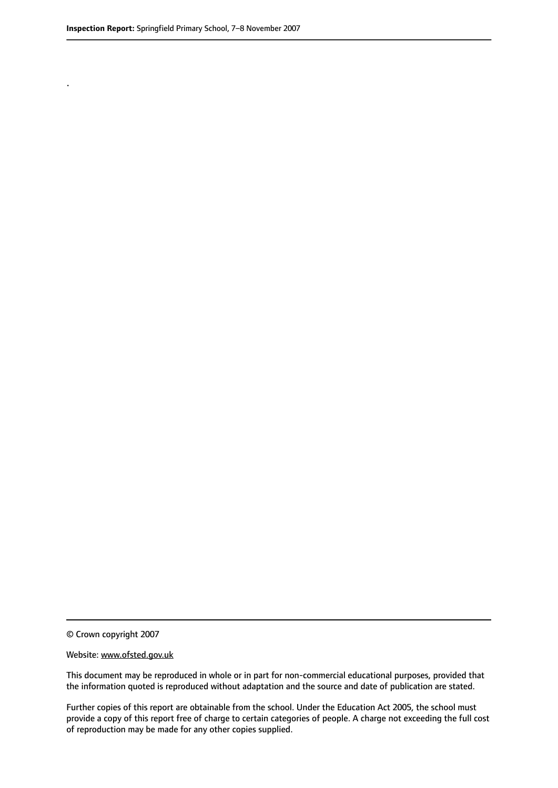.

© Crown copyright 2007

#### Website: www.ofsted.gov.uk

This document may be reproduced in whole or in part for non-commercial educational purposes, provided that the information quoted is reproduced without adaptation and the source and date of publication are stated.

Further copies of this report are obtainable from the school. Under the Education Act 2005, the school must provide a copy of this report free of charge to certain categories of people. A charge not exceeding the full cost of reproduction may be made for any other copies supplied.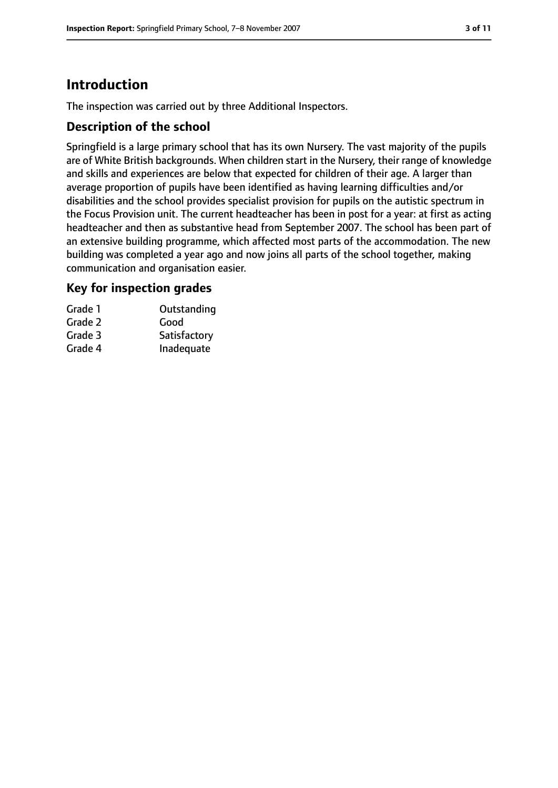# **Introduction**

The inspection was carried out by three Additional Inspectors.

### **Description of the school**

Springfield is a large primary school that has its own Nursery. The vast majority of the pupils are of White British backgrounds. When children start in the Nursery, their range of knowledge and skills and experiences are below that expected for children of their age. A larger than average proportion of pupils have been identified as having learning difficulties and/or disabilities and the school provides specialist provision for pupils on the autistic spectrum in the Focus Provision unit. The current headteacher has been in post for a year: at first as acting headteacher and then as substantive head from September 2007. The school has been part of an extensive building programme, which affected most parts of the accommodation. The new building was completed a year ago and now joins all parts of the school together, making communication and organisation easier.

### **Key for inspection grades**

| Grade 1 | Outstanding  |
|---------|--------------|
| Grade 2 | Good         |
| Grade 3 | Satisfactory |
| Grade 4 | Inadequate   |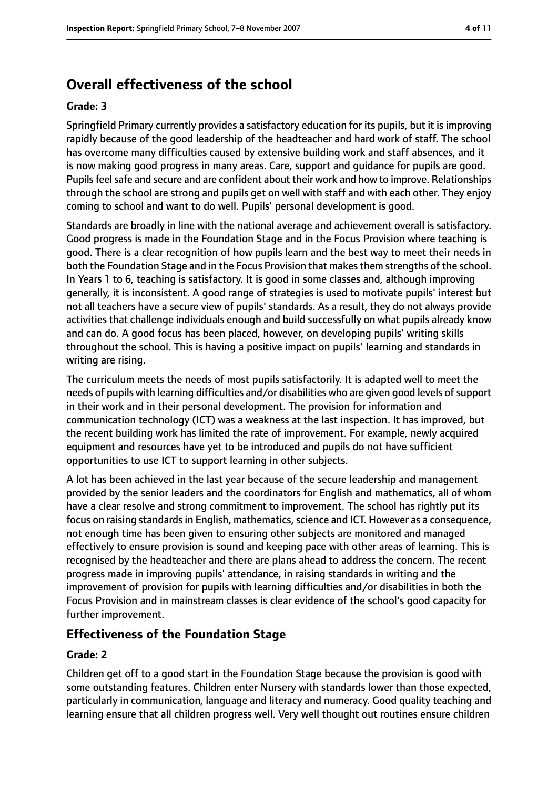# **Overall effectiveness of the school**

#### **Grade: 3**

Springfield Primary currently provides a satisfactory education for its pupils, but it is improving rapidly because of the good leadership of the headteacher and hard work of staff. The school has overcome many difficulties caused by extensive building work and staff absences, and it is now making good progress in many areas. Care, support and guidance for pupils are good. Pupils feel safe and secure and are confident about their work and how to improve. Relationships through the school are strong and pupils get on well with staff and with each other. They enjoy coming to school and want to do well. Pupils' personal development is good.

Standards are broadly in line with the national average and achievement overall is satisfactory. Good progress is made in the Foundation Stage and in the Focus Provision where teaching is good. There is a clear recognition of how pupils learn and the best way to meet their needs in both the Foundation Stage and in the Focus Provision that makes them strengths of the school. In Years 1 to 6, teaching is satisfactory. It is good in some classes and, although improving generally, it is inconsistent. A good range of strategies is used to motivate pupils' interest but not all teachers have a secure view of pupils' standards. As a result, they do not always provide activities that challenge individuals enough and build successfully on what pupils already know and can do. A good focus has been placed, however, on developing pupils' writing skills throughout the school. This is having a positive impact on pupils' learning and standards in writing are rising.

The curriculum meets the needs of most pupils satisfactorily. It is adapted well to meet the needs of pupils with learning difficulties and/or disabilities who are given good levels of support in their work and in their personal development. The provision for information and communication technology (ICT) was a weakness at the last inspection. It has improved, but the recent building work has limited the rate of improvement. For example, newly acquired equipment and resources have yet to be introduced and pupils do not have sufficient opportunities to use ICT to support learning in other subjects.

A lot has been achieved in the last year because of the secure leadership and management provided by the senior leaders and the coordinators for English and mathematics, all of whom have a clear resolve and strong commitment to improvement. The school has rightly put its focus on raising standards in English, mathematics, science and ICT. However as a consequence, not enough time has been given to ensuring other subjects are monitored and managed effectively to ensure provision is sound and keeping pace with other areas of learning. This is recognised by the headteacher and there are plans ahead to address the concern. The recent progress made in improving pupils' attendance, in raising standards in writing and the improvement of provision for pupils with learning difficulties and/or disabilities in both the Focus Provision and in mainstream classes is clear evidence of the school's good capacity for further improvement.

## **Effectiveness of the Foundation Stage**

#### **Grade: 2**

Children get off to a good start in the Foundation Stage because the provision is good with some outstanding features. Children enter Nursery with standards lower than those expected, particularly in communication, language and literacy and numeracy. Good quality teaching and learning ensure that all children progress well. Very well thought out routines ensure children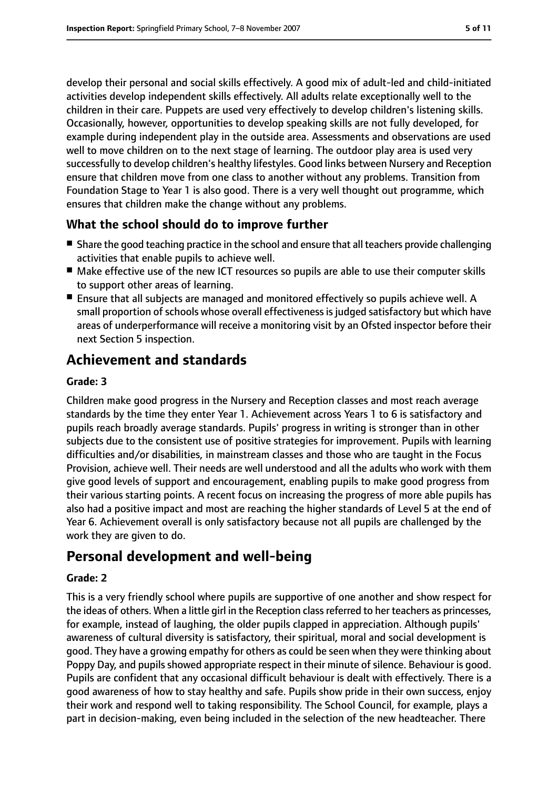develop their personal and social skills effectively. A good mix of adult-led and child-initiated activities develop independent skills effectively. All adults relate exceptionally well to the children in their care. Puppets are used very effectively to develop children's listening skills. Occasionally, however, opportunities to develop speaking skills are not fully developed, for example during independent play in the outside area. Assessments and observations are used well to move children on to the next stage of learning. The outdoor play area is used very successfully to develop children's healthy lifestyles. Good links between Nursery and Reception ensure that children move from one class to another without any problems. Transition from Foundation Stage to Year 1 is also good. There is a very well thought out programme, which ensures that children make the change without any problems.

### **What the school should do to improve further**

- Share the good teaching practice in the school and ensure that all teachers provide challenging activities that enable pupils to achieve well.
- Make effective use of the new ICT resources so pupils are able to use their computer skills to support other areas of learning.
- Ensure that all subjects are managed and monitored effectively so pupils achieve well. A small proportion of schools whose overall effectiveness is judged satisfactory but which have areas of underperformance will receive a monitoring visit by an Ofsted inspector before their next Section 5 inspection.

# **Achievement and standards**

#### **Grade: 3**

Children make good progress in the Nursery and Reception classes and most reach average standards by the time they enter Year 1. Achievement across Years 1 to 6 is satisfactory and pupils reach broadly average standards. Pupils' progress in writing is stronger than in other subjects due to the consistent use of positive strategies for improvement. Pupils with learning difficulties and/or disabilities, in mainstream classes and those who are taught in the Focus Provision, achieve well. Their needs are well understood and all the adults who work with them give good levels of support and encouragement, enabling pupils to make good progress from their various starting points. A recent focus on increasing the progress of more able pupils has also had a positive impact and most are reaching the higher standards of Level 5 at the end of Year 6. Achievement overall is only satisfactory because not all pupils are challenged by the work they are given to do.

# **Personal development and well-being**

#### **Grade: 2**

This is a very friendly school where pupils are supportive of one another and show respect for the ideas of others. When a little girl in the Reception classreferred to her teachers as princesses, for example, instead of laughing, the older pupils clapped in appreciation. Although pupils' awareness of cultural diversity is satisfactory, their spiritual, moral and social development is good. They have a growing empathy for others as could be seen when they were thinking about Poppy Day, and pupils showed appropriate respect in their minute of silence. Behaviour is good. Pupils are confident that any occasional difficult behaviour is dealt with effectively. There is a good awareness of how to stay healthy and safe. Pupils show pride in their own success, enjoy their work and respond well to taking responsibility. The School Council, for example, plays a part in decision-making, even being included in the selection of the new headteacher. There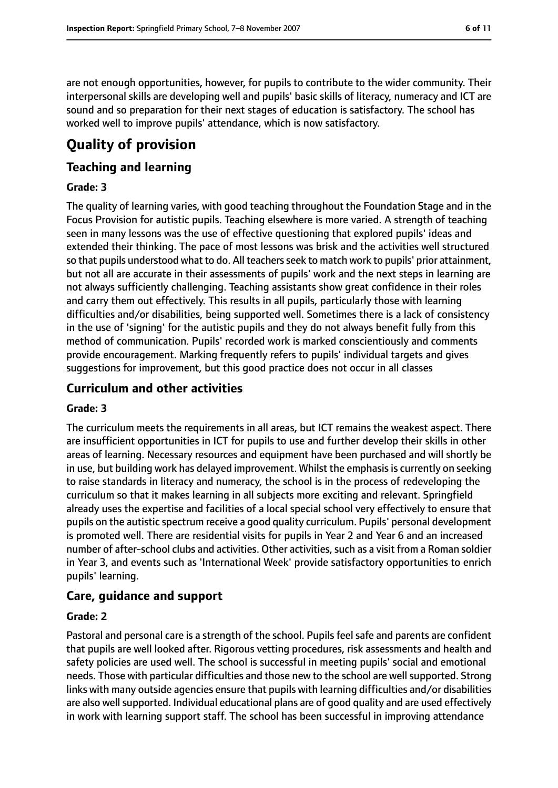are not enough opportunities, however, for pupils to contribute to the wider community. Their interpersonal skills are developing well and pupils' basic skills of literacy, numeracy and ICT are sound and so preparation for their next stages of education is satisfactory. The school has worked well to improve pupils' attendance, which is now satisfactory.

# **Quality of provision**

## **Teaching and learning**

#### **Grade: 3**

The quality of learning varies, with good teaching throughout the Foundation Stage and in the Focus Provision for autistic pupils. Teaching elsewhere is more varied. A strength of teaching seen in many lessons was the use of effective questioning that explored pupils' ideas and extended their thinking. The pace of most lessons was brisk and the activities well structured so that pupils understood what to do. All teachers seek to match work to pupils' prior attainment, but not all are accurate in their assessments of pupils' work and the next steps in learning are not always sufficiently challenging. Teaching assistants show great confidence in their roles and carry them out effectively. This results in all pupils, particularly those with learning difficulties and/or disabilities, being supported well. Sometimes there is a lack of consistency in the use of 'signing' for the autistic pupils and they do not always benefit fully from this method of communication. Pupils' recorded work is marked conscientiously and comments provide encouragement. Marking frequently refers to pupils' individual targets and gives suggestions for improvement, but this good practice does not occur in all classes

### **Curriculum and other activities**

#### **Grade: 3**

The curriculum meets the requirements in all areas, but ICT remains the weakest aspect. There are insufficient opportunities in ICT for pupils to use and further develop their skills in other areas of learning. Necessary resources and equipment have been purchased and will shortly be in use, but building work has delayed improvement. Whilst the emphasis is currently on seeking to raise standards in literacy and numeracy, the school is in the process of redeveloping the curriculum so that it makes learning in all subjects more exciting and relevant. Springfield already uses the expertise and facilities of a local special school very effectively to ensure that pupils on the autistic spectrum receive a good quality curriculum. Pupils' personal development is promoted well. There are residential visits for pupils in Year 2 and Year 6 and an increased number of after-school clubs and activities. Other activities, such as a visit from a Roman soldier in Year 3, and events such as 'International Week' provide satisfactory opportunities to enrich pupils' learning.

## **Care, guidance and support**

#### **Grade: 2**

Pastoral and personal care is a strength of the school. Pupils feel safe and parents are confident that pupils are well looked after. Rigorous vetting procedures, risk assessments and health and safety policies are used well. The school is successful in meeting pupils' social and emotional needs. Those with particular difficulties and those new to the school are wellsupported. Strong links with many outside agencies ensure that pupils with learning difficulties and/or disabilities are also well supported. Individual educational plans are of good quality and are used effectively in work with learning support staff. The school has been successful in improving attendance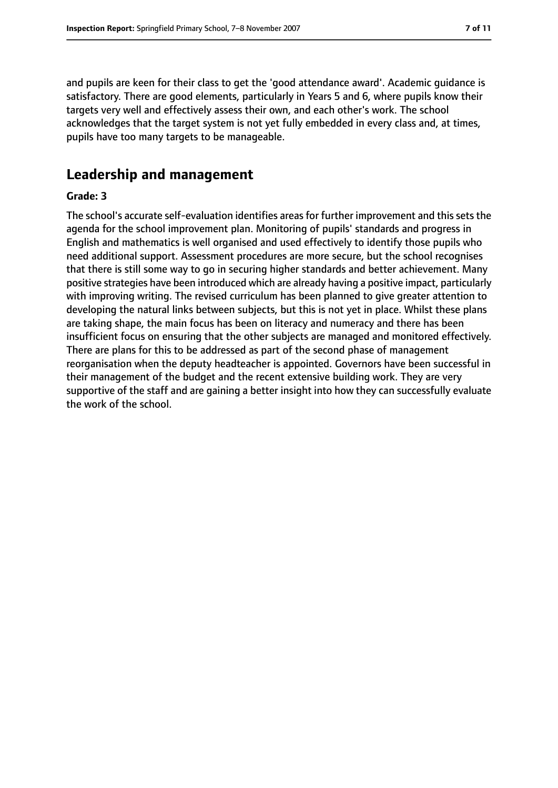and pupils are keen for their class to get the 'good attendance award'. Academic guidance is satisfactory. There are good elements, particularly in Years 5 and 6, where pupils know their targets very well and effectively assess their own, and each other's work. The school acknowledges that the target system is not yet fully embedded in every class and, at times, pupils have too many targets to be manageable.

# **Leadership and management**

#### **Grade: 3**

The school's accurate self-evaluation identifies areas for further improvement and this sets the agenda for the school improvement plan. Monitoring of pupils' standards and progress in English and mathematics is well organised and used effectively to identify those pupils who need additional support. Assessment procedures are more secure, but the school recognises that there is still some way to go in securing higher standards and better achievement. Many positive strategies have been introduced which are already having a positive impact, particularly with improving writing. The revised curriculum has been planned to give greater attention to developing the natural links between subjects, but this is not yet in place. Whilst these plans are taking shape, the main focus has been on literacy and numeracy and there has been insufficient focus on ensuring that the other subjects are managed and monitored effectively. There are plans for this to be addressed as part of the second phase of management reorganisation when the deputy headteacher is appointed. Governors have been successful in their management of the budget and the recent extensive building work. They are very supportive of the staff and are gaining a better insight into how they can successfully evaluate the work of the school.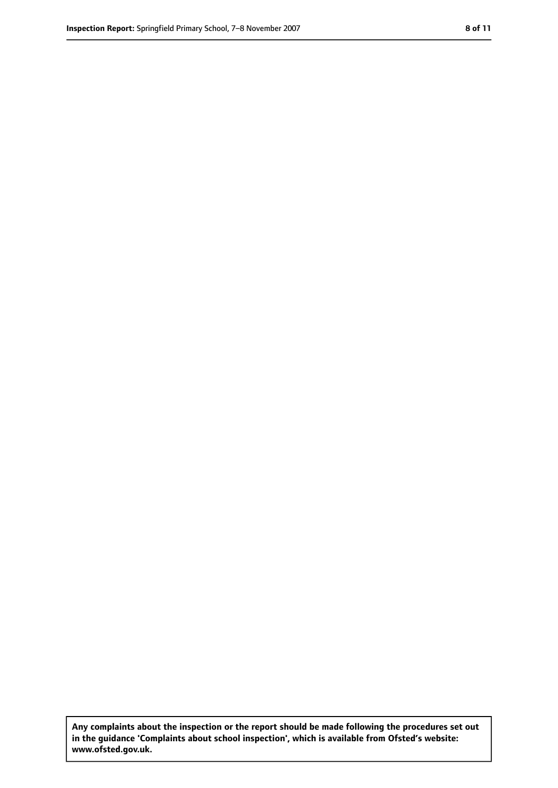**Any complaints about the inspection or the report should be made following the procedures set out in the guidance 'Complaints about school inspection', which is available from Ofsted's website: www.ofsted.gov.uk.**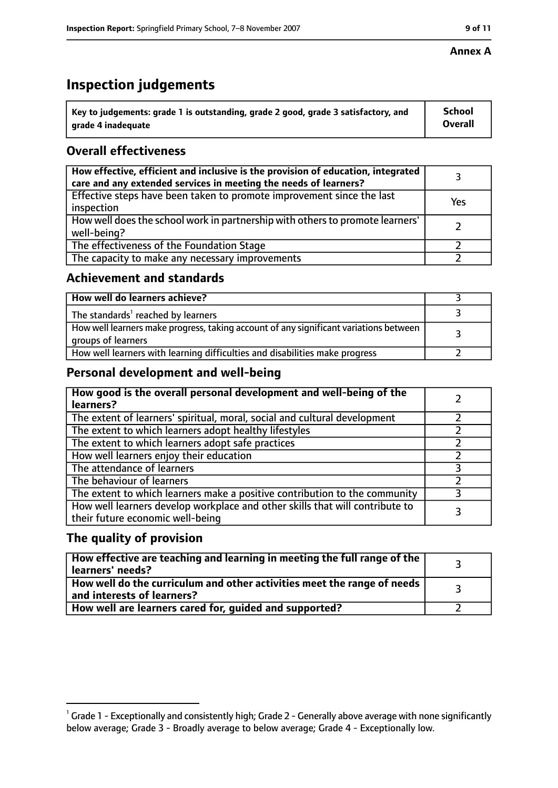#### **Annex A**

# **Inspection judgements**

| $^{\circ}$ Key to judgements: grade 1 is outstanding, grade 2 good, grade 3 satisfactory, and | <b>School</b>  |
|-----------------------------------------------------------------------------------------------|----------------|
| arade 4 inadequate                                                                            | <b>Overall</b> |

## **Overall effectiveness**

| How effective, efficient and inclusive is the provision of education, integrated<br>care and any extended services in meeting the needs of learners? |     |
|------------------------------------------------------------------------------------------------------------------------------------------------------|-----|
| Effective steps have been taken to promote improvement since the last<br>inspection                                                                  | Yes |
| How well does the school work in partnership with others to promote learners'<br>well-being?                                                         |     |
| The effectiveness of the Foundation Stage                                                                                                            |     |
| The capacity to make any necessary improvements                                                                                                      |     |

#### **Achievement and standards**

| How well do learners achieve?                                                                               |  |
|-------------------------------------------------------------------------------------------------------------|--|
| The standards <sup>1</sup> reached by learners                                                              |  |
| How well learners make progress, taking account of any significant variations between<br>groups of learners |  |
| How well learners with learning difficulties and disabilities make progress                                 |  |

### **Personal development and well-being**

| How good is the overall personal development and well-being of the<br>learners?                                  |  |
|------------------------------------------------------------------------------------------------------------------|--|
| The extent of learners' spiritual, moral, social and cultural development                                        |  |
| The extent to which learners adopt healthy lifestyles                                                            |  |
| The extent to which learners adopt safe practices                                                                |  |
| How well learners enjoy their education                                                                          |  |
| The attendance of learners                                                                                       |  |
| The behaviour of learners                                                                                        |  |
| The extent to which learners make a positive contribution to the community                                       |  |
| How well learners develop workplace and other skills that will contribute to<br>their future economic well-being |  |

### **The quality of provision**

| How effective are teaching and learning in meeting the full range of the<br>learners' needs?          |  |
|-------------------------------------------------------------------------------------------------------|--|
| How well do the curriculum and other activities meet the range of needs<br>and interests of learners? |  |
| How well are learners cared for, guided and supported?                                                |  |

 $^1$  Grade 1 - Exceptionally and consistently high; Grade 2 - Generally above average with none significantly below average; Grade 3 - Broadly average to below average; Grade 4 - Exceptionally low.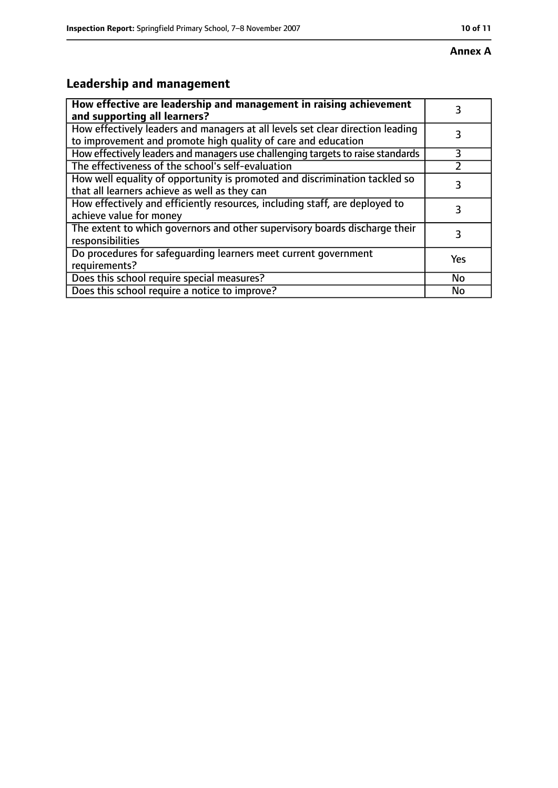# **Leadership and management**

| How effective are leadership and management in raising achievement<br>and supporting all learners?                                              | 3         |
|-------------------------------------------------------------------------------------------------------------------------------------------------|-----------|
| How effectively leaders and managers at all levels set clear direction leading<br>to improvement and promote high quality of care and education |           |
| How effectively leaders and managers use challenging targets to raise standards                                                                 | 3         |
| The effectiveness of the school's self-evaluation                                                                                               |           |
| How well equality of opportunity is promoted and discrimination tackled so<br>that all learners achieve as well as they can                     | 3         |
| How effectively and efficiently resources, including staff, are deployed to<br>achieve value for money                                          | 3         |
| The extent to which governors and other supervisory boards discharge their<br>responsibilities                                                  | 3         |
| Do procedures for safequarding learners meet current government<br>requirements?                                                                | Yes       |
| Does this school require special measures?                                                                                                      | <b>No</b> |
| Does this school require a notice to improve?                                                                                                   | No        |